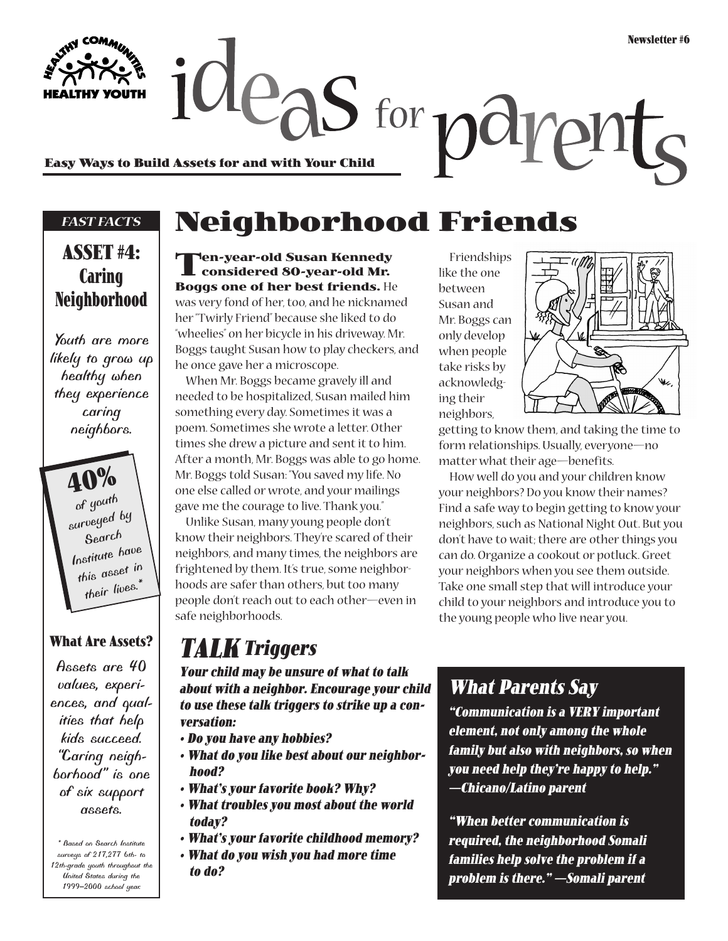**Easy Ways to Build Assets for and with Your Child**

#### *FAST FACTS*

### **ASSET #4: Caring Neighborhood**

*Youth are more likely to grow up healthy when they experience caring neighbors.*

> **40%** *of youth surveyed by Search Institute have this asset in their lives.\**

### **What Are Assets?**

*Assets are 40 values, experiences, and qualities that help kids succeed. "Caring neighborhood" is one of six support assets.*

*\* Based on Search Institute surveys of 217,277 6th- to 12th-grade youth throughout the United States during the 1999–2000 school year.*

## **Neighborhood Friends**

 $\alpha$  deas for  $\alpha$ 

**Ten-year-old Susan Kennedy considered 80-year-old Mr. Boggs one of her best friends.** He was very fond of her, too, and he nicknamed her "Twirly Friend" because she liked to do "wheelies" on her bicycle in his driveway. Mr. Boggs taught Susan how to play checkers, and he once gave her a microscope.

When Mr. Boggs became gravely ill and needed to be hospitalized, Susan mailed him something every day. Sometimes it was a poem. Sometimes she wrote a letter. Other times she drew a picture and sent it to him. After a month, Mr. Boggs was able to go home. Mr. Boggs told Susan: "You saved my life. No one else called or wrote, and your mailings gave me the courage to live. Thank you."

Unlike Susan, many young people don't know their neighbors. They're scared of their neighbors, and many times, the neighbors are frightened by them. It's true, some neighborhoods are safer than others, but too many people don't reach out to each other—even in safe neighborhoods.

### **TALK Triggers**

**Your child may be unsure of what to talk about with a neighbor. Encourage your child to use these talk triggers to strike up a conversation:**

- **Do you have any hobbies?**
- **What do you like best about our neighborhood?**
- **What's your favorite book? Why?**
- **What troubles you most about the world today?**
- **What's your favorite childhood memory?**
- **What do you wish you had more time to do?**

Friendships like the one between Susan and Mr. Boggs can only develop when people take risks by acknowledging their neighbors,



pr

getting to know them, and taking the time to form relationships. Usually, everyone—no matter what their age—benefits.

How well do you and your children know your neighbors? Do you know their names? Find a safe way to begin getting to know your neighbors, such as National Night Out. But you don't have to wait; there are other things you can do. Organize a cookout or potluck. Greet your neighbors when you see them outside. Take one small step that will introduce your child to your neighbors and introduce you to the young people who live near you.

### **What Parents Say**

**"Communication is a VERY important element, not only among the whole family but also with neighbors, so when you need help they're happy to help." —Chicano/Latino parent**

**"When better communication is required, the neighborhood Somali families help solve the problem if a problem is there." —Somali parent**